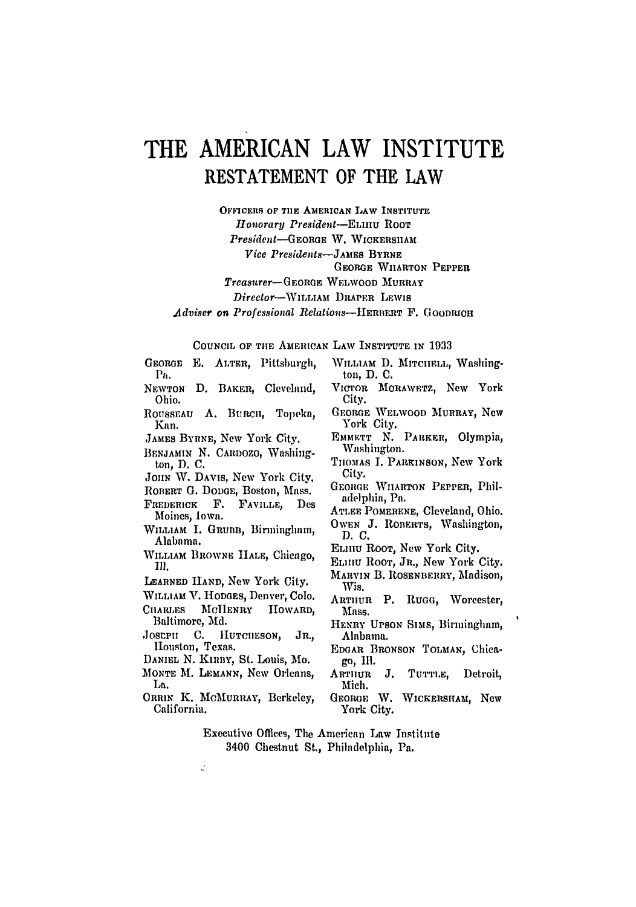## THE **AMERICAN** LAW **INSTITUTE RESTATEMENT** OF THE LAW

**OFFICERS OF TIE AMERICAN LAW INSTITUTE** *Honorary President-ELInU* ROOT *Presdent-GEORGE* W. **WICKERSIIAM** *Vice Presidents-JAMEs* BYRNE GEORGE WHARTON PEPPER Treasurer- GEORGE WELWOOD MURRAY Director-WILLIAM DRAPER LEWIS *Adviser on Professional Relations-HRIIERT* F. **GOODIOH**

COUNCIL OF THE AMERICAN LAW INSTITUTE IN 1933

GEORGE **E.** ALTER, Pittsburgh, **Pa.** NEWTON D. BAKER, Cleveland,

- Ohio.
- ROUSSEAU A. BuRCII, Topeka, Kan.
- JAMES BYRNE, New York City.
- BENJAMIN N. CARDOZO, Washington, **D.** C.
- *JOHN* W. DAVIS, New York City.
- ROBERT G. DODGE, Boston, Mass.
- FREDERICK F. FAVILLE, Des Moines, Iowa.
- WILLIAM I. GRUBB, Birmingham, Alabama.
- WILLIAM BROWNE HALE, Chicago, Ill.
- LEARNED HAND, New York City.
- WILLIAM V. HODGES, Denver, Colo.
- CHARLES MCHENRY HOWARD, Baltimore, Aid.
- JOSEPH C. HUTCHESON, JR., Houston, Texas.
- DANIEL **N.** Kinny, St. Louis, Mo.
- MONTE **M.** LEMANN, New Orleans, La,.
- ORRIN K. **MCMURRAY,** Berkeley, California.
- WILLIAM D. MITCHELL, Washington, **D. C.**
- VICTOR MORAWETz, New York City.
- GEORGE WELWOOD MURRAY, Ncw York City.
- EMMETT N. PARKER, Olympia, Washington.
- TIIOMAS I. PARINSON, New York City.
- GEORGE WILARTON PEPPER, Philadelphia, Pa,
- ATLEE **POMERENE,** Cleveland, Ohio. OWEN J. ROBERTS, Washington,
- D.C.
- **ELIIu** ROOT, New York City.
- **ELIIIu** ROOT, JR., New York City.
- MARVIN B. ROSENBERRY, Madison, Wis.
- ARTHUR P. RUGG, Worcester, Mass.
- HENRY UPSON SIMs, Birmingham, Alabama.
- EDGAR BRONSON TOLMAN, Chicago, Ill.
- ARTHUR J. **TUTTLE,** Detroit, Mich.
- GEORGE W. WICKERSHAM, **New** York City.
- Executive Offices, The American Law Institute 3400 Chestnut St., Philadelphia, Pa.
- J.